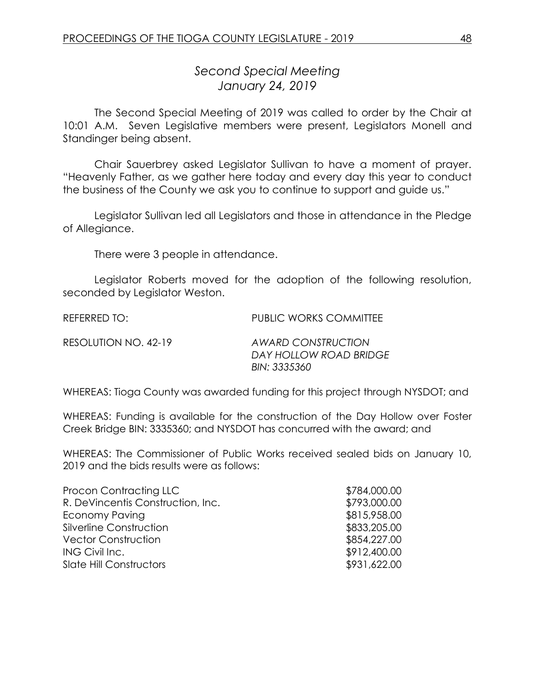## *Second Special Meeting January 24, 2019*

The Second Special Meeting of 2019 was called to order by the Chair at 10:01 A.M. Seven Legislative members were present, Legislators Monell and Standinger being absent.

Chair Sauerbrey asked Legislator Sullivan to have a moment of prayer. "Heavenly Father, as we gather here today and every day this year to conduct the business of the County we ask you to continue to support and guide us."

Legislator Sullivan led all Legislators and those in attendance in the Pledge of Allegiance.

There were 3 people in attendance.

Legislator Roberts moved for the adoption of the following resolution, seconded by Legislator Weston.

REFERRED TO: PUBLIC WORKS COMMITTEE

| RESOLUTION NO. 42-19 | ΑW |
|----------------------|----|
|                      | DА |

RESOLUTION NO. 42-19 *AWARD CONSTRUCTION DAY HOLLOW ROAD BRIDGE BIN: 3335360* 

WHEREAS: Tioga County was awarded funding for this project through NYSDOT; and

WHEREAS: Funding is available for the construction of the Day Hollow over Foster Creek Bridge BIN: 3335360; and NYSDOT has concurred with the award; and

WHEREAS: The Commissioner of Public Works received sealed bids on January 10, 2019 and the bids results were as follows:

| \$784,000.00 |
|--------------|
| \$793,000.00 |
| \$815,958.00 |
| \$833,205.00 |
| \$854,227.00 |
| \$912,400.00 |
| \$931,622.00 |
|              |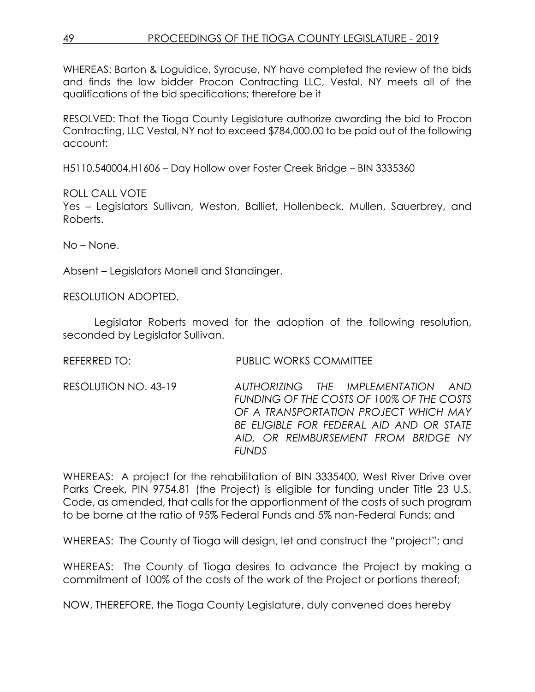WHEREAS: Barton & Loguidice, Syracuse, NY have completed the review of the bids and finds the low bidder Procon Contracting LLC, Vestal, NY meets all of the qualifications of the bid specifications; therefore be it

RESOLVED: That the Tioga County Legislature authorize awarding the bid to Procon Contracting, LLC Vestal, NY not to exceed \$784,000.00 to be paid out of the following account:

H5110.540004.H1606 – Day Hollow over Foster Creek Bridge – BIN 3335360

ROLL CALL VOTE

Yes – Legislators Sullivan, Weston, Balliet, Hollenbeck, Mullen, Sauerbrey, and Roberts.

No – None.

Absent – Legislators Monell and Standinger.

RESOLUTION ADOPTED.

Legislator Roberts moved for the adoption of the following resolution, seconded by Legislator Sullivan.

REFERRED TO: PUBLIC WORKS COMMITTEE

RESOLUTION NO. 43-19 *AUTHORIZING THE IMPLEMENTATION AND FUNDING OF THE COSTS OF 100% OF THE COSTS OF A TRANSPORTATION PROJECT WHICH MAY BE ELIGIBLE FOR FEDERAL AID AND OR STATE AID, OR REIMBURSEMENT FROM BRIDGE NY FUNDS*

WHEREAS: A project for the rehabilitation of BIN 3335400, West River Drive over Parks Creek, PIN 9754.81 (the Project) is eligible for funding under Title 23 U.S. Code, as amended, that calls for the apportionment of the costs of such program to be borne at the ratio of 95% Federal Funds and 5% non-Federal Funds; and

WHEREAS: The County of Tioga will design, let and construct the "project"; and

WHEREAS: The County of Tioga desires to advance the Project by making a commitment of 100% of the costs of the work of the Project or portions thereof;

NOW, THEREFORE, the Tioga County Legislature, duly convened does hereby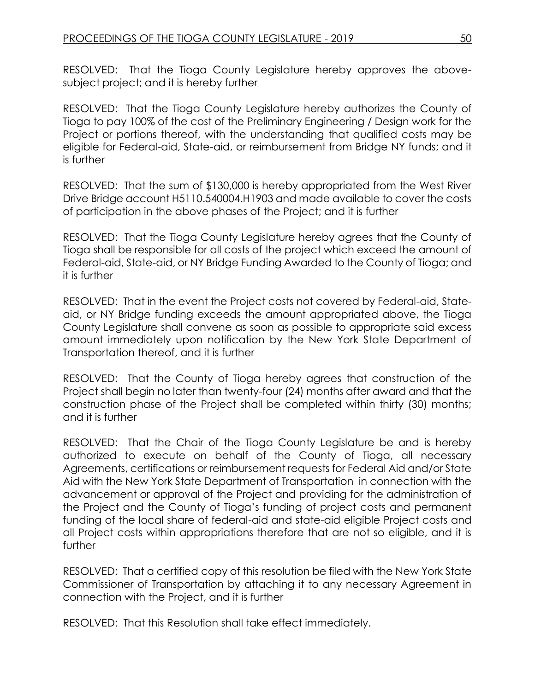RESOLVED: That the Tioga County Legislature hereby approves the abovesubject project; and it is hereby further

RESOLVED: That the Tioga County Legislature hereby authorizes the County of Tioga to pay 100% of the cost of the Preliminary Engineering / Design work for the Project or portions thereof, with the understanding that qualified costs may be eligible for Federal-aid, State-aid, or reimbursement from Bridge NY funds; and it is further

RESOLVED: That the sum of \$130,000 is hereby appropriated from the West River Drive Bridge account H5110.540004.H1903 and made available to cover the costs of participation in the above phases of the Project; and it is further

RESOLVED: That the Tioga County Legislature hereby agrees that the County of Tioga shall be responsible for all costs of the project which exceed the amount of Federal-aid, State-aid, or NY Bridge Funding Awarded to the County of Tioga; and it is further

RESOLVED: That in the event the Project costs not covered by Federal-aid, Stateaid, or NY Bridge funding exceeds the amount appropriated above, the Tioga County Legislature shall convene as soon as possible to appropriate said excess amount immediately upon notification by the New York State Department of Transportation thereof, and it is further

RESOLVED: That the County of Tioga hereby agrees that construction of the Project shall begin no later than twenty-four (24) months after award and that the construction phase of the Project shall be completed within thirty (30) months; and it is further

RESOLVED: That the Chair of the Tioga County Legislature be and is hereby authorized to execute on behalf of the County of Tioga, all necessary Agreements, certifications or reimbursement requests for Federal Aid and/or State Aid with the New York State Department of Transportation in connection with the advancement or approval of the Project and providing for the administration of the Project and the County of Tioga's funding of project costs and permanent funding of the local share of federal-aid and state-aid eligible Project costs and all Project costs within appropriations therefore that are not so eligible, and it is further

RESOLVED: That a certified copy of this resolution be filed with the New York State Commissioner of Transportation by attaching it to any necessary Agreement in connection with the Project, and it is further

RESOLVED: That this Resolution shall take effect immediately.